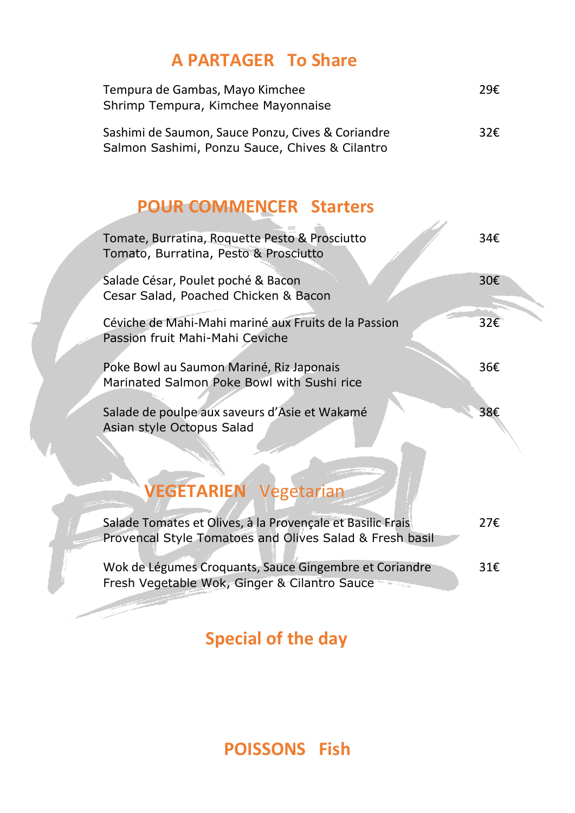## **A PARTAGER To Share**

| Tempura de Gambas, Mayo Kimchee<br>Shrimp Tempura, Kimchee Mayonnaise                               | 29€           |
|-----------------------------------------------------------------------------------------------------|---------------|
| Sashimi de Saumon, Sauce Ponzu, Cives & Coriandre<br>Salmon Sashimi, Ponzu Sauce, Chives & Cilantro | 32 $\epsilon$ |

## **POUR COMMENCER Starters**

| Tomate, Burratina, Roquette Pesto & Prosciutto<br>Tomato, Burratina, Pesto & Prosciutto                               | 34€ |
|-----------------------------------------------------------------------------------------------------------------------|-----|
| Salade César, Poulet poché & Bacon<br>Cesar Salad, Poached Chicken & Bacon                                            | 30€ |
| Céviche de Mahi-Mahi mariné aux Fruits de la Passion<br>Passion fruit Mahi-Mahi Ceviche                               | 32€ |
| Poke Bowl au Saumon Mariné, Riz Japonais<br>Marinated Salmon Poke Bowl with Sushi rice                                | 36€ |
| Salade de poulpe aux saveurs d'Asie et Wakamé<br>Asian style Octopus Salad                                            | 38€ |
| <b>/EGETARIEN Vegetarian</b>                                                                                          |     |
| Salade Tomates et Olives, à la Provençale et Basilic Frais<br>Provencal Style Tomatoes and Olives Salad & Fresh basil | 27€ |
| Wok de Légumes Croquants, Sauce Gingembre et Coriandre<br>Fresh Vegetable Wok, Ginger & Cilantro Sauce                | 31€ |

**Special of the day**

**POISSONS Fish**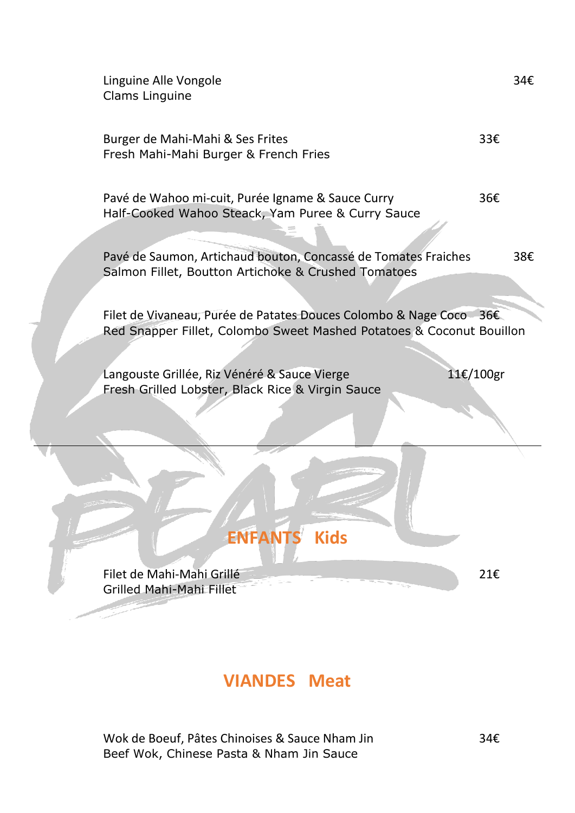

#### **VIANDES Meat**

Wok de Boeuf, Pâtes Chinoises & Sauce Nham Jin 34€ Beef Wok, Chinese Pasta & Nham Jin Sauce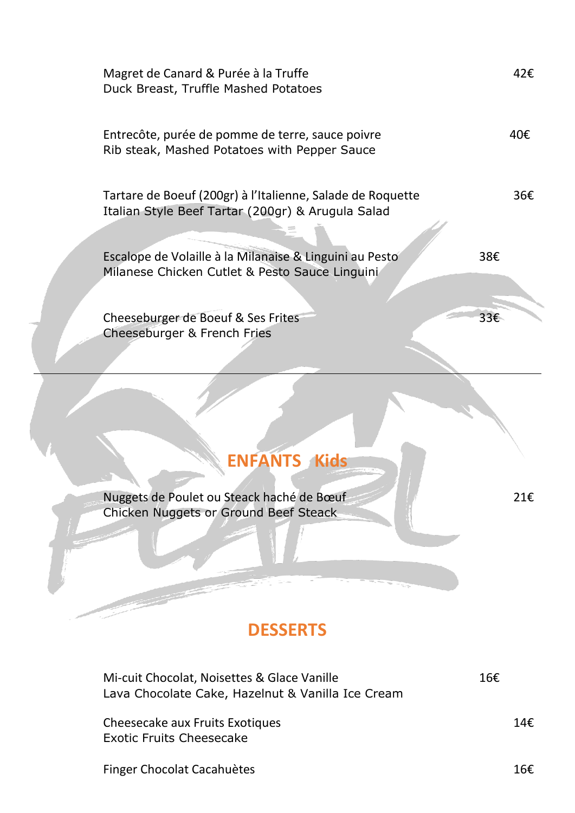| Magret de Canard & Purée à la Truffe<br>Duck Breast, Truffle Mashed Potatoes                                    |     | 42€ |
|-----------------------------------------------------------------------------------------------------------------|-----|-----|
| Entrecôte, purée de pomme de terre, sauce poivre<br>Rib steak, Mashed Potatoes with Pepper Sauce                |     | 40€ |
| Tartare de Boeuf (200gr) à l'Italienne, Salade de Roquette<br>Italian Style Beef Tartar (200gr) & Arugula Salad |     | 36€ |
| Escalope de Volaille à la Milanaise & Linguini au Pesto<br>Milanese Chicken Cutlet & Pesto Sauce Linguini       | 38€ |     |
| Cheeseburger de Boeuf & Ses Frites<br>Cheeseburger & French Fries                                               | 33€ |     |

# **ENFANTS Kids**

Nuggets de Poulet ou Steack haché de Bœuf 21€ Chicken Nuggets or Ground Beef Steack

## **DESSERTS**

| Mi-cuit Chocolat, Noisettes & Glace Vanille<br>Lava Chocolate Cake, Hazelnut & Vanilla Ice Cream | 16€ |
|--------------------------------------------------------------------------------------------------|-----|
| Cheesecake aux Fruits Exotiques<br><b>Exotic Fruits Cheesecake</b>                               | 14£ |
| Finger Chocolat Cacahuètes                                                                       | 16£ |